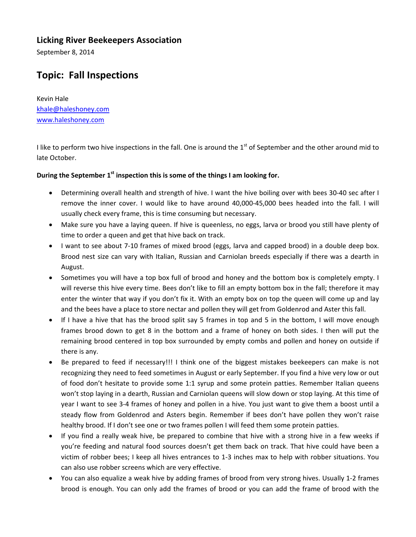## **Licking River Beekeepers Association**

September 8, 2014

## **Topic: Fall Inspections**

Kevin Hale khale@haleshoney.com www.haleshoney.com

I like to perform two hive inspections in the fall. One is around the  $1<sup>st</sup>$  of September and the other around mid to late October.

## **During the September 1st inspection this is some of the things I am looking for.**

- Determining overall health and strength of hive. I want the hive boiling over with bees 30‐40 sec after I remove the inner cover. I would like to have around 40,000‐45,000 bees headed into the fall. I will usually check every frame, this is time consuming but necessary.
- Make sure you have a laying queen. If hive is queenless, no eggs, larva or brood you still have plenty of time to order a queen and get that hive back on track.
- I want to see about 7-10 frames of mixed brood (eggs, larva and capped brood) in a double deep box. Brood nest size can vary with Italian, Russian and Carniolan breeds especially if there was a dearth in August.
- Sometimes you will have a top box full of brood and honey and the bottom box is completely empty. I will reverse this hive every time. Bees don't like to fill an empty bottom box in the fall; therefore it may enter the winter that way if you don't fix it. With an empty box on top the queen will come up and lay and the bees have a place to store nectar and pollen they will get from Goldenrod and Aster this fall.
- If I have a hive that has the brood split say 5 frames in top and 5 in the bottom, I will move enough frames brood down to get 8 in the bottom and a frame of honey on both sides. I then will put the remaining brood centered in top box surrounded by empty combs and pollen and honey on outside if there is any.
- Be prepared to feed if necessary!!! I think one of the biggest mistakes beekeepers can make is not recognizing they need to feed sometimes in August or early September. If you find a hive very low or out of food don't hesitate to provide some 1:1 syrup and some protein patties. Remember Italian queens won't stop laying in a dearth, Russian and Carniolan queens will slow down or stop laying. At this time of year I want to see 3‐4 frames of honey and pollen in a hive. You just want to give them a boost until a steady flow from Goldenrod and Asters begin. Remember if bees don't have pollen they won't raise healthy brood. If I don't see one or two frames pollen I will feed them some protein patties.
- If you find a really weak hive, be prepared to combine that hive with a strong hive in a few weeks if you're feeding and natural food sources doesn't get them back on track. That hive could have been a victim of robber bees; I keep all hives entrances to 1‐3 inches max to help with robber situations. You can also use robber screens which are very effective.
- You can also equalize a weak hive by adding frames of brood from very strong hives. Usually 1‐2 frames brood is enough. You can only add the frames of brood or you can add the frame of brood with the